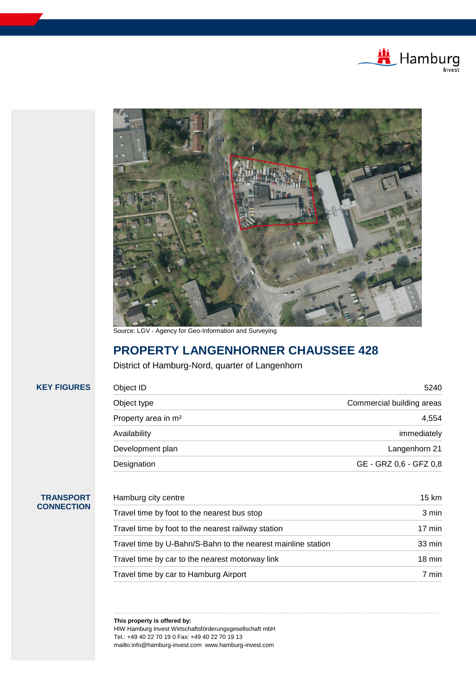



Source: LGV - Agency for Geo-Information and Surveying

# **PROPERTY LANGENHORNER CHAUSSEE 428**

District of Hamburg-Nord, quarter of Langenhorn

| Object ID                       | 5240                      |  |
|---------------------------------|---------------------------|--|
| Object type                     | Commercial building areas |  |
| Property area in m <sup>2</sup> | 4,554                     |  |
| Availability                    | immediately               |  |
| Development plan                | Langenhorn 21             |  |
| Designation                     | GE - GRZ 0,6 - GFZ 0,8    |  |
|                                 |                           |  |

# **TRANSPORT CONNECTION**

**KEY FIGURES** 

| Hamburg city centre                                          | 15 km            |  |
|--------------------------------------------------------------|------------------|--|
| Travel time by foot to the nearest bus stop                  | 3 min            |  |
| Travel time by foot to the nearest railway station           | $17 \text{ min}$ |  |
| Travel time by U-Bahn/S-Bahn to the nearest mainline station | $33 \text{ min}$ |  |
| Travel time by car to the nearest motorway link              | $18 \text{ min}$ |  |
| Travel time by car to Hamburg Airport                        | 7 min            |  |

… . . . . . . . . . . . . . . . . . . . . . . . . . . . . . . . . . . . . . . . . . . … . . . . . . . . . . . . . . . . . . . . . . . . . . . . . . . . . . . . . . . . . . … . . . . . . . . . . . . . . . . . . . . . . . . . . . . . . . . . . . . . . . . . . … . . . . . . . . . . . . . . . . . . . . . . . . . . . . . . . . . .

**This property is offered by:** HIW Hamburg Invest Wirtschaftsförderungsgesellschaft mbH Tel.: +49 40 22 70 19 0 Fax: +49 40 22 70 19 13 mailto:info@hamburg-invest.com www.hamburg-invest.com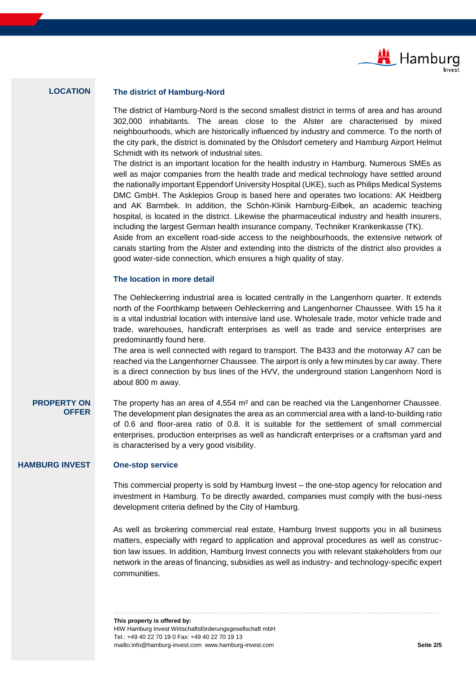

# **LOCATION The district of Hamburg-Nord**

The district of Hamburg-Nord is the second smallest district in terms of area and has around 302,000 inhabitants. The areas close to the Alster are characterised by mixed neighbourhoods, which are historically influenced by industry and commerce. To the north of the city park, the district is dominated by the Ohlsdorf cemetery and Hamburg Airport Helmut Schmidt with its network of industrial sites.

The district is an important location for the health industry in Hamburg. Numerous SMEs as well as major companies from the health trade and medical technology have settled around the nationally important Eppendorf University Hospital (UKE), such as Philips Medical Systems DMC GmbH. The Asklepios Group is based here and operates two locations: AK Heidberg and AK Barmbek. In addition, the Schön-Klinik Hamburg-Eilbek, an academic teaching hospital, is located in the district. Likewise the pharmaceutical industry and health insurers, including the largest German health insurance company, Techniker Krankenkasse (TK).

Aside from an excellent road-side access to the neighbourhoods, the extensive network of canals starting from the Alster and extending into the districts of the district also provides a good water-side connection, which ensures a high quality of stay.

### **The location in more detail**

The Oehleckerring industrial area is located centrally in the Langenhorn quarter. It extends north of the Foorthkamp between Oehleckerring and Langenhorner Chaussee. With 15 ha it is a vital industrial location with intensive land use. Wholesale trade, motor vehicle trade and trade, warehouses, handicraft enterprises as well as trade and service enterprises are predominantly found here.

The area is well connected with regard to transport. The B433 and the motorway A7 can be reached via the Langenhorner Chaussee. The airport is only a few minutes by car away. There is a direct connection by bus lines of the HVV, the underground station Langenhorn Nord is about 800 m away.

### **PROPERTY ON OFFER**

The property has an area of 4,554 m² and can be reached via the Langenhorner Chaussee. The development plan designates the area as an commercial area with a land-to-building ratio of 0.6 and floor-area ratio of 0.8. It is suitable for the settlement of small commercial enterprises, production enterprises as well as handicraft enterprises or a craftsman yard and is characterised by a very good visibility.

### **HAMBURG INVEST One-stop service**

This commercial property is sold by Hamburg Invest – the one-stop agency for relocation and investment in Hamburg. To be directly awarded, companies must comply with the busi-ness development criteria defined by the City of Hamburg.

As well as brokering commercial real estate, Hamburg Invest supports you in all business matters, especially with regard to application and approval procedures as well as construction law issues. In addition, Hamburg Invest connects you with relevant stakeholders from our network in the areas of financing, subsidies as well as industry- and technology-specific expert communities.

… . . . . . . . . . . . . . . . . . . . . . . . . . . . . . . . . . . . . . . . . . . … . . . . . . . . . . . . . . . . . . . . . . . . . . . . . . . . . . . . . . . . . . … . . . . . . . . . . . . . . . . . . . . . . . . . . . . . . . . . . . . . . . . . . … . . . . . . . . . . . . . . . . . . . . . . . . . . . . . . . . . .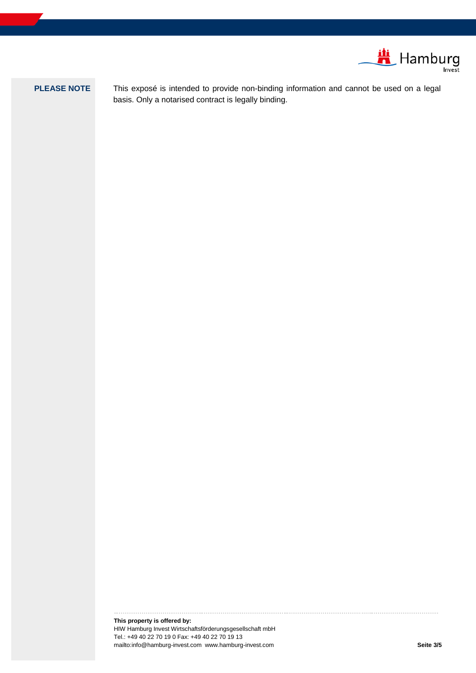

**PLEASE NOTE** This exposé is intended to provide non-binding information and cannot be used on a legal basis. Only a notarised contract is legally binding.

… . . . . . . . . . . . . . . . . . . . . . . . . . . . . . . . . . . . . . . . . . . … . . . . . . . . . . . . . . . . . . . . . . . . . . . . . . . . . . . . . . . . . . … . . . . . . . . . . . . . . . . . . . . . . . . . . . . . . . . . . . . . . . . . . … . . . . . . . . . . . . . . . . . . . . . . . . . . . . . . . . . .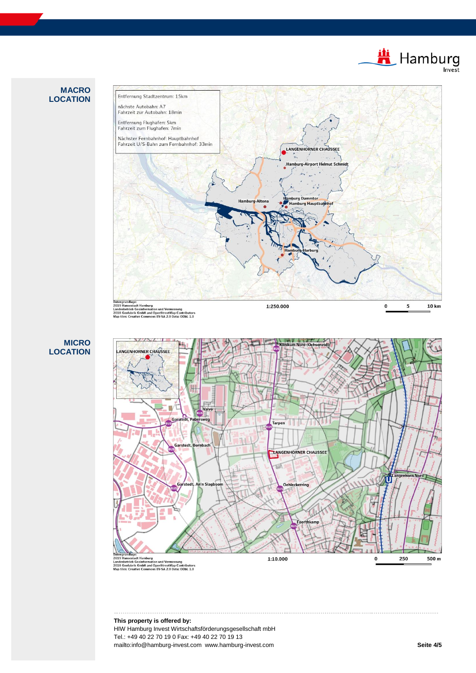Hamburg

## **MACRO LOCATION**



**MICRO LOCATION**



… . . . . . . . . . . . . . . . . . . . . . . . . . . . . . . . . . . . . . . . . . . … . . . . . . . . . . . . . . . . . . . . . . . . . . . . . . . . . . . . . . . . . . … . . . . . . . . . . . . . . . . . . . . . . . . . . . . . . . . . . . . . . . . . . … . . . . . . . . . . . . . . . . . . . . . . . . . . . . . . . . . .

**This property is offered by:** HIW Hamburg Invest Wirtschaftsförderungsgesellschaft mbH Tel.: +49 40 22 70 19 0 Fax: +49 40 22 70 19 13 mailto:info@hamburg-invest.com www.hamburg-invest.com **Seite 4/5**